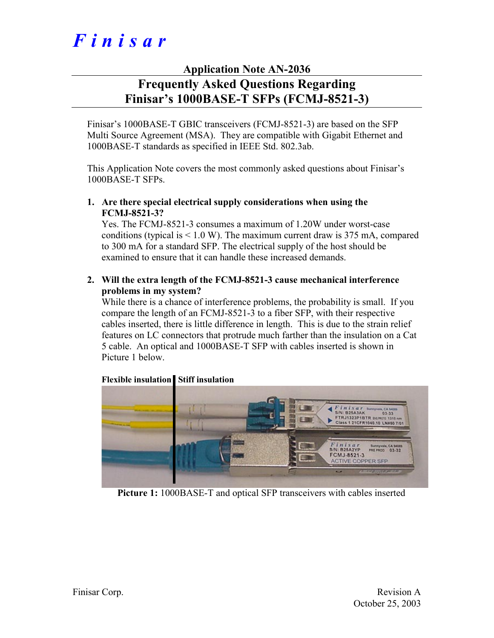# *Finisar*

# **Application Note AN-2036**

# **Frequently Asked Questions Regarding Finisar's 1000BASE-T SFPs (FCMJ-8521-3)**

Finisar's 1000BASE-T GBIC transceivers (FCMJ-8521-3) are based on the SFP Multi Source Agreement (MSA). They are compatible with Gigabit Ethernet and 1000BASE-T standards as specified in IEEE Std. 802.3ab.

This Application Note covers the most commonly asked questions about Finisar's 1000BASE-T SFPs.

**1. Are there special electrical supply considerations when using the FCMJ-8521-3?** 

Yes. The FCMJ-8521-3 consumes a maximum of 1.20W under worst-case conditions (typical is  $\leq 1.0$  W). The maximum current draw is 375 mA, compared to 300 mA for a standard SFP. The electrical supply of the host should be examined to ensure that it can handle these increased demands.

**2. Will the extra length of the FCMJ-8521-3 cause mechanical interference problems in my system?** 

While there is a chance of interference problems, the probability is small. If you compare the length of an FCMJ-8521-3 to a fiber SFP, with their respective cables inserted, there is little difference in length. This is due to the strain relief features on LC connectors that protrude much farther than the insulation on a Cat 5 cable. An optical and 1000BASE-T SFP with cables inserted is shown in Picture 1 below.



#### **Flexible insulation Stiff insulation**

**Picture 1:** 1000BASE-T and optical SFP transceivers with cables inserted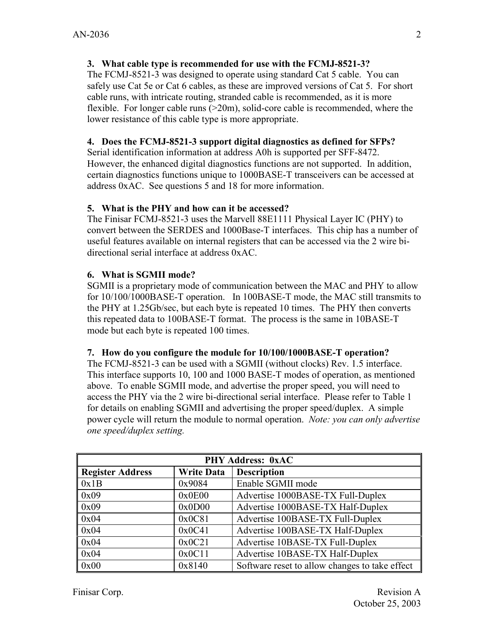# **3. What cable type is recommended for use with the FCMJ-8521-3?**

The FCMJ-8521-3 was designed to operate using standard Cat 5 cable. You can safely use Cat 5e or Cat 6 cables, as these are improved versions of Cat 5. For short cable runs, with intricate routing, stranded cable is recommended, as it is more flexible. For longer cable runs  $(20m)$ , solid-core cable is recommended, where the lower resistance of this cable type is more appropriate.

# **4. Does the FCMJ-8521-3 support digital diagnostics as defined for SFPs?**

Serial identification information at address A0h is supported per SFF-8472. However, the enhanced digital diagnostics functions are not supported. In addition, certain diagnostics functions unique to 1000BASE-T transceivers can be accessed at address 0xAC. See questions 5 and 18 for more information.

## **5. What is the PHY and how can it be accessed?**

The Finisar FCMJ-8521-3 uses the Marvell 88E1111 Physical Layer IC (PHY) to convert between the SERDES and 1000Base-T interfaces. This chip has a number of useful features available on internal registers that can be accessed via the 2 wire bidirectional serial interface at address 0xAC.

## **6. What is SGMII mode?**

SGMII is a proprietary mode of communication between the MAC and PHY to allow for 10/100/1000BASE-T operation. In 100BASE-T mode, the MAC still transmits to the PHY at 1.25Gb/sec, but each byte is repeated 10 times. The PHY then converts this repeated data to 100BASE-T format. The process is the same in 10BASE-T mode but each byte is repeated 100 times.

#### **7. How do you configure the module for 10/100/1000BASE-T operation?**

The FCMJ-8521-3 can be used with a SGMII (without clocks) Rev. 1.5 interface. This interface supports 10, 100 and 1000 BASE-T modes of operation, as mentioned above. To enable SGMII mode, and advertise the proper speed, you will need to access the PHY via the 2 wire bi-directional serial interface. Please refer to Table 1 for details on enabling SGMII and advertising the proper speed/duplex. A simple power cycle will return the module to normal operation. *Note: you can only advertise one speed/duplex setting.* 

| <b>PHY Address: 0xAC</b> |                   |                                                |
|--------------------------|-------------------|------------------------------------------------|
| <b>Register Address</b>  | <b>Write Data</b> | <b>Description</b>                             |
| 0x1B                     | 0x9084            | Enable SGMII mode                              |
| 0x09                     | 0x0E00            | Advertise 1000BASE-TX Full-Duplex              |
| 0x09                     | 0x0D00            | Advertise 1000BASE-TX Half-Duplex              |
| 0x04                     | 0x0C81            | Advertise 100BASE-TX Full-Duplex               |
| 0x04                     | 0x0C41            | Advertise 100BASE-TX Half-Duplex               |
| 0x04                     | 0x0C21            | Advertise 10BASE-TX Full-Duplex                |
| 0x04                     | 0x0C11            | Advertise 10BASE-TX Half-Duplex                |
| 0x00                     | 0x8140            | Software reset to allow changes to take effect |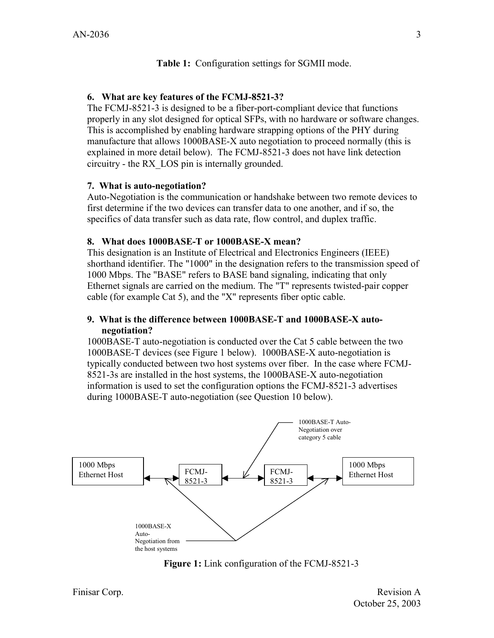#### **Table 1:** Configuration settings for SGMII mode.

#### **6. What are key features of the FCMJ-8521-3?**

The FCMJ-8521-3 is designed to be a fiber-port-compliant device that functions properly in any slot designed for optical SFPs, with no hardware or software changes. This is accomplished by enabling hardware strapping options of the PHY during manufacture that allows 1000BASE-X auto negotiation to proceed normally (this is explained in more detail below). The FCMJ-8521-3 does not have link detection circuitry - the RX\_LOS pin is internally grounded.

#### **7. What is auto-negotiation?**

Auto-Negotiation is the communication or handshake between two remote devices to first determine if the two devices can transfer data to one another, and if so, the specifics of data transfer such as data rate, flow control, and duplex traffic.

#### **8. What does 1000BASE-T or 1000BASE-X mean?**

This designation is an Institute of Electrical and Electronics Engineers (IEEE) shorthand identifier. The "1000" in the designation refers to the transmission speed of 1000 Mbps. The "BASE" refers to BASE band signaling, indicating that only Ethernet signals are carried on the medium. The "T" represents twisted-pair copper cable (for example Cat 5), and the "X" represents fiber optic cable.

#### **9. What is the difference between 1000BASE-T and 1000BASE-X autonegotiation?**

1000BASE-T auto-negotiation is conducted over the Cat 5 cable between the two 1000BASE-T devices (see Figure 1 below). 1000BASE-X auto-negotiation is typically conducted between two host systems over fiber. In the case where FCMJ-8521-3s are installed in the host systems, the 1000BASE-X auto-negotiation information is used to set the configuration options the FCMJ-8521-3 advertises during 1000BASE-T auto-negotiation (see Question 10 below).



**Figure 1:** Link configuration of the FCMJ-8521-3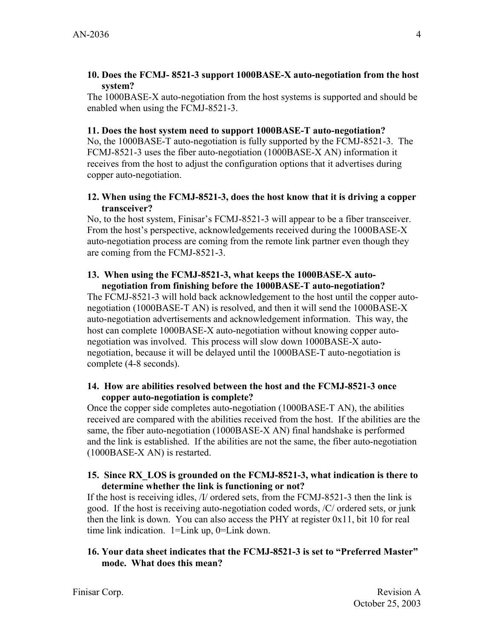#### **10. Does the FCMJ- 8521-3 support 1000BASE-X auto-negotiation from the host system?**

The 1000BASE-X auto-negotiation from the host systems is supported and should be enabled when using the FCMJ-8521-3.

#### **11. Does the host system need to support 1000BASE-T auto-negotiation?**

No, the 1000BASE-T auto-negotiation is fully supported by the FCMJ-8521-3. The FCMJ-8521-3 uses the fiber auto-negotiation (1000BASE-X AN) information it receives from the host to adjust the configuration options that it advertises during copper auto-negotiation.

#### **12. When using the FCMJ-8521-3, does the host know that it is driving a copper transceiver?**

No, to the host system, Finisar's FCMJ-8521-3 will appear to be a fiber transceiver. From the host's perspective, acknowledgements received during the 1000BASE-X auto-negotiation process are coming from the remote link partner even though they are coming from the FCMJ-8521-3.

#### **13. When using the FCMJ-8521-3, what keeps the 1000BASE-X autonegotiation from finishing before the 1000BASE-T auto-negotiation?**

The FCMJ-8521-3 will hold back acknowledgement to the host until the copper autonegotiation (1000BASE-T AN) is resolved, and then it will send the 1000BASE-X auto-negotiation advertisements and acknowledgement information. This way, the host can complete 1000BASE-X auto-negotiation without knowing copper autonegotiation was involved. This process will slow down 1000BASE-X autonegotiation, because it will be delayed until the 1000BASE-T auto-negotiation is complete (4-8 seconds).

#### **14. How are abilities resolved between the host and the FCMJ-8521-3 once copper auto-negotiation is complete?**

Once the copper side completes auto-negotiation (1000BASE-T AN), the abilities received are compared with the abilities received from the host. If the abilities are the same, the fiber auto-negotiation (1000BASE-X AN) final handshake is performed and the link is established. If the abilities are not the same, the fiber auto-negotiation (1000BASE-X AN) is restarted.

#### **15. Since RX\_LOS is grounded on the FCMJ-8521-3, what indication is there to determine whether the link is functioning or not?**

If the host is receiving idles, /I/ ordered sets, from the FCMJ-8521-3 then the link is good. If the host is receiving auto-negotiation coded words, /C/ ordered sets, or junk then the link is down. You can also access the PHY at register 0x11, bit 10 for real time link indication. 1=Link up, 0=Link down.

#### **16. Your data sheet indicates that the FCMJ-8521-3 is set to "Preferred Master" mode. What does this mean?**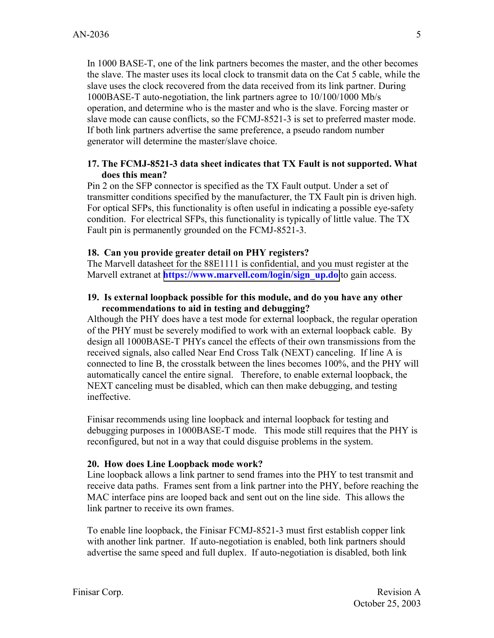In 1000 BASE-T, one of the link partners becomes the master, and the other becomes the slave. The master uses its local clock to transmit data on the Cat 5 cable, while the slave uses the clock recovered from the data received from its link partner. During 1000BASE-T auto-negotiation, the link partners agree to 10/100/1000 Mb/s operation, and determine who is the master and who is the slave. Forcing master or slave mode can cause conflicts, so the FCMJ-8521-3 is set to preferred master mode. If both link partners advertise the same preference, a pseudo random number generator will determine the master/slave choice.

#### **17. The FCMJ-8521-3 data sheet indicates that TX Fault is not supported. What does this mean?**

Pin 2 on the SFP connector is specified as the TX Fault output. Under a set of transmitter conditions specified by the manufacturer, the TX Fault pin is driven high. For optical SFPs, this functionality is often useful in indicating a possible eye-safety condition. For electrical SFPs, this functionality is typically of little value. The TX Fault pin is permanently grounded on the FCMJ-8521-3.

#### **18. Can you provide greater detail on PHY registers?**

The Marvell datasheet for the 88E1111 is confidential, and you must register at the Marvell extranet at **https://www.marvell.com/login/sign\_up.do** to gain access.

#### **19. Is external loopback possible for this module, and do you have any other recommendations to aid in testing and debugging?**

Although the PHY does have a test mode for external loopback, the regular operation of the PHY must be severely modified to work with an external loopback cable. By design all 1000BASE-T PHYs cancel the effects of their own transmissions from the received signals, also called Near End Cross Talk (NEXT) canceling. If line A is connected to line B, the crosstalk between the lines becomes 100%, and the PHY will automatically cancel the entire signal. Therefore, to enable external loopback, the NEXT canceling must be disabled, which can then make debugging, and testing ineffective.

Finisar recommends using line loopback and internal loopback for testing and debugging purposes in 1000BASE-T mode. This mode still requires that the PHY is reconfigured, but not in a way that could disguise problems in the system.

#### **20. How does Line Loopback mode work?**

Line loopback allows a link partner to send frames into the PHY to test transmit and receive data paths. Frames sent from a link partner into the PHY, before reaching the MAC interface pins are looped back and sent out on the line side. This allows the link partner to receive its own frames.

To enable line loopback, the Finisar FCMJ-8521-3 must first establish copper link with another link partner. If auto-negotiation is enabled, both link partners should advertise the same speed and full duplex. If auto-negotiation is disabled, both link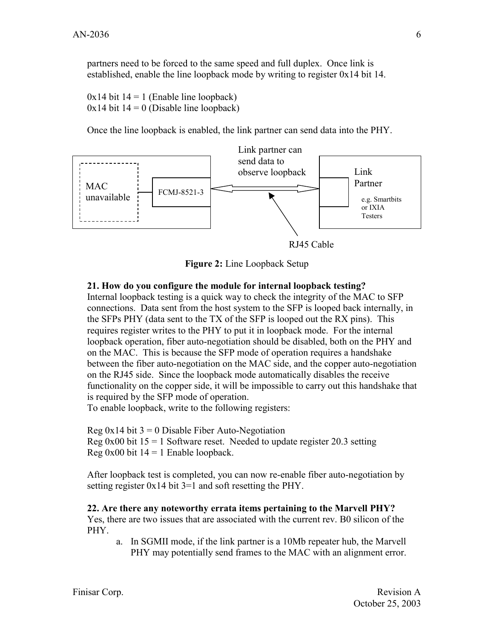partners need to be forced to the same speed and full duplex. Once link is established, enable the line loopback mode by writing to register 0x14 bit 14.

 $0x14$  bit  $14 = 1$  (Enable line loopback)  $0x14$  bit  $14 = 0$  (Disable line loopback)

Once the line loopback is enabled, the link partner can send data into the PHY.



RJ45 Cable

**Figure 2:** Line Loopback Setup

#### **21. How do you configure the module for internal loopback testing?**

Internal loopback testing is a quick way to check the integrity of the MAC to SFP connections. Data sent from the host system to the SFP is looped back internally, in the SFPs PHY (data sent to the TX of the SFP is looped out the RX pins). This requires register writes to the PHY to put it in loopback mode. For the internal loopback operation, fiber auto-negotiation should be disabled, both on the PHY and on the MAC. This is because the SFP mode of operation requires a handshake between the fiber auto-negotiation on the MAC side, and the copper auto-negotiation on the RJ45 side. Since the loopback mode automatically disables the receive functionality on the copper side, it will be impossible to carry out this handshake that is required by the SFP mode of operation.

To enable loopback, write to the following registers:

Reg  $0x14$  bit  $3 = 0$  Disable Fiber Auto-Negotiation Reg 0x00 bit  $15 = 1$  Software reset. Needed to update register 20.3 setting Reg  $0x00$  bit  $14 = 1$  Enable loopback.

After loopback test is completed, you can now re-enable fiber auto-negotiation by setting register  $0x14$  bit  $3=1$  and soft resetting the PHY.

#### **22. Are there any noteworthy errata items pertaining to the Marvell PHY?**

Yes, there are two issues that are associated with the current rev. B0 silicon of the PHY.

a. In SGMII mode, if the link partner is a 10Mb repeater hub, the Marvell PHY may potentially send frames to the MAC with an alignment error.